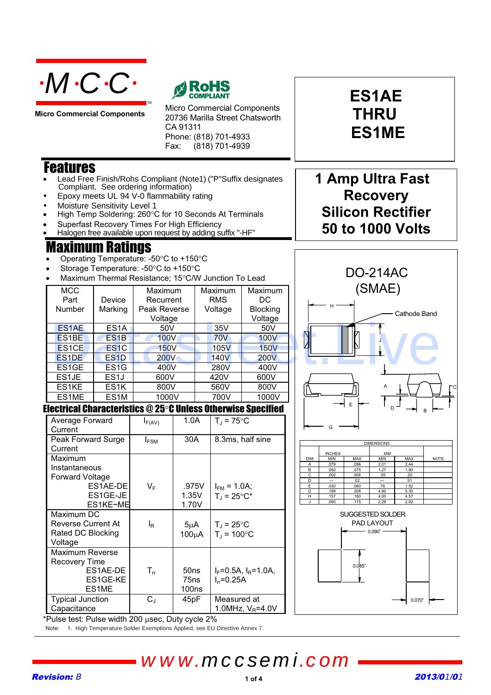

**Micro Commercial Components**



Micro Commercial Components 20736 Marilla Street Chatsworth CA 91311 Phone: (818) 701-4933 Fax: (818) 701-4939

### Features

- Lead Free Finish/Rohs Compliant (Note1) ("P"Suffix designates Compliant. See ordering information)
- Epoxy meets UL 94 V-0 flammability rating
- Moisture Sensitivity Level 1
- High Temp Soldering: 260°C for 10 Seconds At Terminals
- Superfast Recovery Times For High Efficiency
- Halogen free available upon request by adding suffix "-HF"

### laximum Ratings

- Operating Temperature: -50 $\degree$ C to +150 $\degree$ C
- Storage Temperature: -50°C to +150°C
- Maximum Thermal Resistance: 15°C/W Junction To Lead

| <b>MCC</b>         |                   | Maximum      | Maximum     | <b>Maximum</b>  | (SMAE)       |
|--------------------|-------------------|--------------|-------------|-----------------|--------------|
| Part               | Device            | Recurrent    | <b>RMS</b>  | DC.             |              |
| Number             | Marking           | Peak Reverse | Voltage     | <b>Blocking</b> |              |
|                    |                   | Voltage      |             | Voltage         | Cathode Band |
| ES <sub>1</sub> AE | ES <sub>1</sub> A | 50V          | 35V         | 50V             |              |
| ES <sub>1</sub> BE | ES <sub>1</sub> B | <b>100V</b>  | <b>70V</b>  | <b>100V</b>     |              |
| ES <sub>1</sub> CE | ES <sub>1</sub> C | <b>150V</b>  | 105V        | <b>150V</b>     |              |
| ES <sub>1</sub> DE | ES <sub>1</sub> D | <b>200V</b>  | <b>140V</b> | <b>200V</b>     |              |
| ES <sub>1</sub> GE | ES <sub>1</sub> G | 400V         | 280V        | 400V            |              |
| ES1JE              | ES <sub>1</sub>   | 600V         | 420V        | 600V            |              |
| ES1KE              | ES <sub>1</sub> K | 800V         | 560V        | 800V            | A            |
| ES1ME              | ES <sub>1</sub> M | 1000V        | 700V        | 1000V           |              |

#### Electrical Characteristics @ 25°C Unless Otherwise Specified

| Average Forward<br>Current | $I_{F(AV)}$                | 1.0A             | $T_{\rm J}$ = 75°C             |
|----------------------------|----------------------------|------------------|--------------------------------|
| Peak Forward Surge         | $I_{FSM}$                  | 30A              | 8.3ms, half sine               |
| Current                    |                            |                  |                                |
| Maximum                    |                            |                  |                                |
| Instantaneous              |                            |                  |                                |
| <b>Forward Voltage</b>     |                            |                  |                                |
| ES1AE-DE                   | VF                         | .975V            | $I_{FM}$ = 1.0A;               |
| ES1GE-JE                   |                            | 1.35V            | $T_{\text{d}}$ = 25°C*         |
| ES1KE~ME                   |                            | 1.70V            |                                |
| Maximum DC                 |                            |                  |                                |
| <b>Reverse Current At</b>  | l <sub>R</sub>             | $5\mu$ A         | $T_{\rm J}$ = 25°C             |
| Rated DC Blocking          |                            | $100\mu A$       | $T_{\rm J}$ = 100 $^{\circ}$ C |
| Voltage                    |                            |                  |                                |
| Maximum Reverse            |                            |                  |                                |
| <b>Recovery Time</b>       |                            |                  |                                |
| ES1AE-DE                   | $\mathsf{T}_{\mathsf{rr}}$ | 50ns             | $I_F = 0.5A$ , $I_R = 1.0A$    |
| ES1GE-KE                   |                            | 75 <sub>ns</sub> | $I_{rr} = 0.25A$               |
| ES1ME                      |                            | 100ns            |                                |
| <b>Typical Junction</b>    | $\rm C_J$                  | 45pF             | Measured at                    |
| Capacitance                |                            |                  | 1.0MHz, $V_R$ =4.0V            |

# **THRU ES1ME**

**ES1AE**

### **1 Amp Ultra Fast Recovery Silicon Rectifier 50 to 1000 Volts**



| <b>DIMENSIONS</b> |               |            |            |            |             |  |  |
|-------------------|---------------|------------|------------|------------|-------------|--|--|
|                   | <b>INCHES</b> |            | MM         |            |             |  |  |
| <b>DIM</b>        | <b>MIN</b>    | <b>MAX</b> | <b>MIN</b> | <b>MAX</b> | <b>NOTE</b> |  |  |
| Α                 | .079          | .096       | 2.01       | 2.44       |             |  |  |
| в                 | .050          | .075       | 1.27       | 1.90       |             |  |  |
| С                 | .002          | .008       | .05        | .20        |             |  |  |
| D                 | ---           | .02        | ---        | .51        |             |  |  |
| E                 | .030          | .060       | .76        | 1.52       |             |  |  |
| G                 | .189          | .208       | 4.80       | 5.30       |             |  |  |
| н                 | .157          | .180       | 4.00       | 4.57       |             |  |  |
|                   | .090          | .115       | 2.29       | 2.92       |             |  |  |



\*Pulse test: Pulse width 200 usec, Duty cycle 2%

Note: 1. High Temperature Solder Exemptions Applied, see EU Directive Annex 7.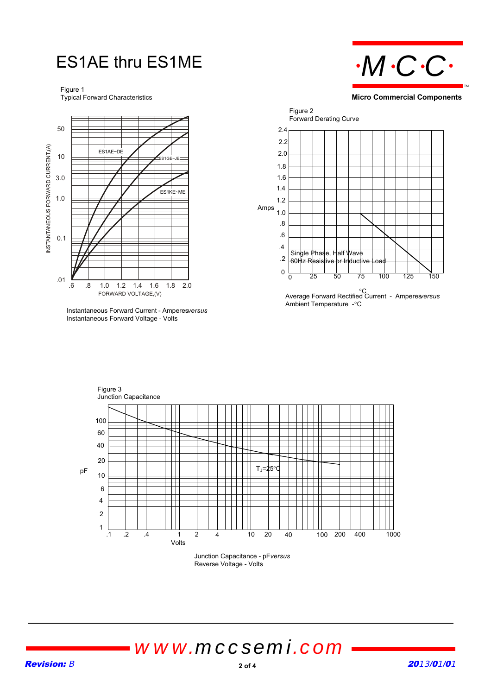## ES1AE thru ES1ME

Figure 1 Typical Forward Characteristics



**Instantaneous Forward Current - Amperesversus** Instantaneous Forward Voltage - Volts

 $\mathbf{r}$ 



**Micro Commercial Components**



Figure 3 Junction Capacitance .1 .2 .4 1 2 4 10 20 40 100 200 1 2 6 10 20 100 Junction Capacitance - pF *versus* pF Volts 60 40 4 400 1000  $T<sub>J</sub>=25^{\circ}$ 

Reverse Voltage - Volts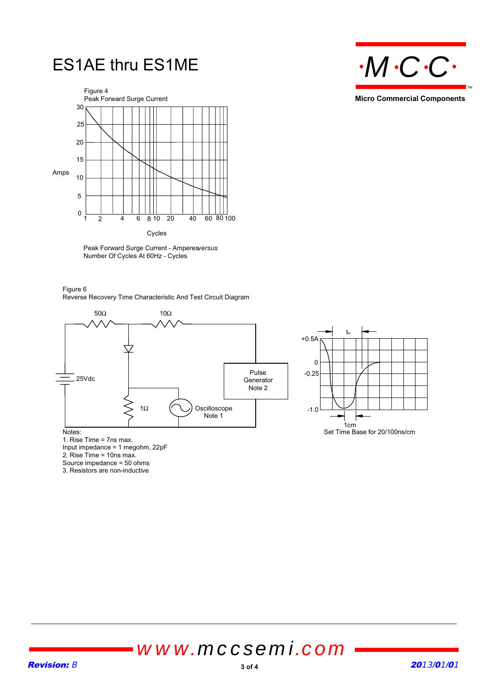



Peak Forward Surge Current - Amperesversus Number Of Cycles At 60Hz - Cycles

Figure 6 Reverse Recovery Time Characteristic And Test Circuit Diagram





Notes:

1. Rise Time = 7ns max.

Input impedance = 1 megohm, 22pF

2. Rise Time = 10ns max.

Source impedance = 50 ohms 3. Resistors are non-inductive



**Micro Commercial Components**

TM